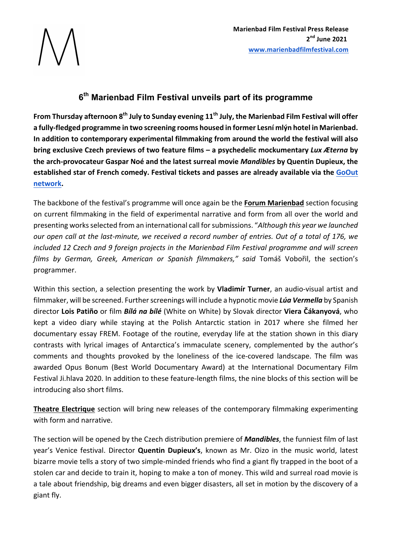# **6th Marienbad Film Festival unveils part of its programme**

**From Thursday afternoon 8<sup>th</sup> July to Sunday evening 11<sup>th</sup> July, the Marienbad Film Festival will offer** a fully-fledged programme in two screening rooms housed in former Lesní mlýn hotel in Marienbad. In addition to contemporary experimental filmmaking from around the world the festival will also **bring** exclusive Czech previews of two feature films – a psychedelic mockumentary Lux Æterna by **the arch-provocateur Gaspar Noé and the latest surreal movie** *Mandibles* **by Quentin Dupieux, the established star of French comedy. Festival tickets and passes are already available via the GoOut network.** 

The backbone of the festival's programme will once again be the **Forum Marienbad** section focusing on current filmmaking in the field of experimental narrative and form from all over the world and presenting works selected from an international call for submissions. "Although this year we launched *our* open call at the last-minute, we received a record number of entries. Out of a total of 176, we *included* 12 Czech and 9 foreign projects in the Marienbad Film Festival programme and will screen films by German, Greek, American or Spanish filmmakers," said Tomáš Vobořil, the section's programmer.

Within this section, a selection presenting the work by **Vladimír Turner**, an audio-visual artist and filmmaker, will be screened. Further screenings will include a hypnotic movie *Lúa Vermella* by Spanish director Lois Patiño or film *Bílá na bílé* (White on White) by Slovak director Viera Čákanyová, who kept a video diary while staying at the Polish Antarctic station in 2017 where she filmed her documentary essay FREM. Footage of the routine, everyday life at the station shown in this diary contrasts with lyrical images of Antarctica's immaculate scenery, complemented by the author's comments and thoughts provoked by the loneliness of the ice-covered landscape. The film was awarded Opus Bonum (Best World Documentary Award) at the International Documentary Film Festival Ji.hlava 2020. In addition to these feature-length films, the nine blocks of this section will be introducing also short films.

**Theatre Electrique** section will bring new releases of the contemporary filmmaking experimenting with form and narrative.

The section will be opened by the Czech distribution premiere of **Mandibles**, the funniest film of last year's Venice festival. Director **Quentin Dupieux's**, known as Mr. Oizo in the music world, latest bizarre movie tells a story of two simple-minded friends who find a giant fly trapped in the boot of a stolen car and decide to train it, hoping to make a ton of money. This wild and surreal road movie is a tale about friendship, big dreams and even bigger disasters, all set in motion by the discovery of a giant fly.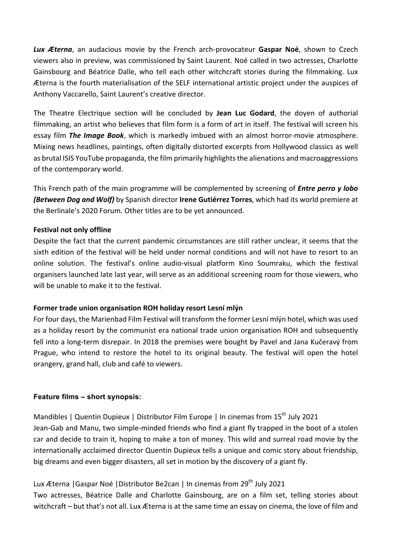**Lux Æterna**, an audacious movie by the French arch-provocateur Gaspar Noé, shown to Czech viewers also in preview, was commissioned by Saint Laurent. Noé called in two actresses, Charlotte Gainsbourg and Béatrice Dalle, who tell each other witchcraft stories during the filmmaking. Lux Æterna is the fourth materialisation of the SELF international artistic project under the auspices of Anthony Vaccarello, Saint Laurent's creative director.

The Theatre Electrique section will be concluded by **Jean Luc Godard**, the doyen of authorial filmmaking, an artist who believes that film form is a form of art in itself. The festival will screen his essay film *The Image Book*, which is markedly imbued with an almost horror-movie atmosphere. Mixing news headlines, paintings, often digitally distorted excerpts from Hollywood classics as well as brutal ISIS YouTube propaganda, the film primarily highlights the alienations and macroaggressions of the contemporary world.

This French path of the main programme will be complemented by screening of *Entre perro y lobo* **(Between Dog and Wolf)** by Spanish director **Irene Gutiérrez Torres**, which had its world premiere at the Berlinale's 2020 Forum. Other titles are to be vet announced.

#### **Festival not only offline**

Despite the fact that the current pandemic circumstances are still rather unclear, it seems that the sixth edition of the festival will be held under normal conditions and will not have to resort to an online solution. The festival's online audio-visual platform Kino Soumraku, which the festival organisers launched late last year, will serve as an additional screening room for those viewers, who will be unable to make it to the festival.

### **Former trade union organisation ROH holiday resort Lesní mlýn**

For four days, the Marienbad Film Festival will transform the former Lesní mlýn hotel, which was used as a holiday resort by the communist era national trade union organisation ROH and subsequently fell into a long-term disrepair. In 2018 the premises were bought by Pavel and Jana Kučeravý from Prague, who intend to restore the hotel to its original beauty. The festival will open the hotel orangery, grand hall, club and café to viewers.

#### **Feature films – short synopsis:**

Mandibles | Quentin Dupieux | Distributor Film Europe | In cinemas from 15<sup>th</sup> July 2021 Jean-Gab and Manu, two simple-minded friends who find a giant fly trapped in the boot of a stolen car and decide to train it, hoping to make a ton of money. This wild and surreal road movie by the internationally acclaimed director Quentin Dupieux tells a unique and comic story about friendship, big dreams and even bigger disasters, all set in motion by the discovery of a giant fly.

# Lux Æterna | Gaspar Noé | Distributor Be2can | In cinemas from 29<sup>th</sup> July 2021

Two actresses, Béatrice Dalle and Charlotte Gainsbourg, are on a film set, telling stories about witchcraft - but that's not all. Lux Æterna is at the same time an essay on cinema, the love of film and